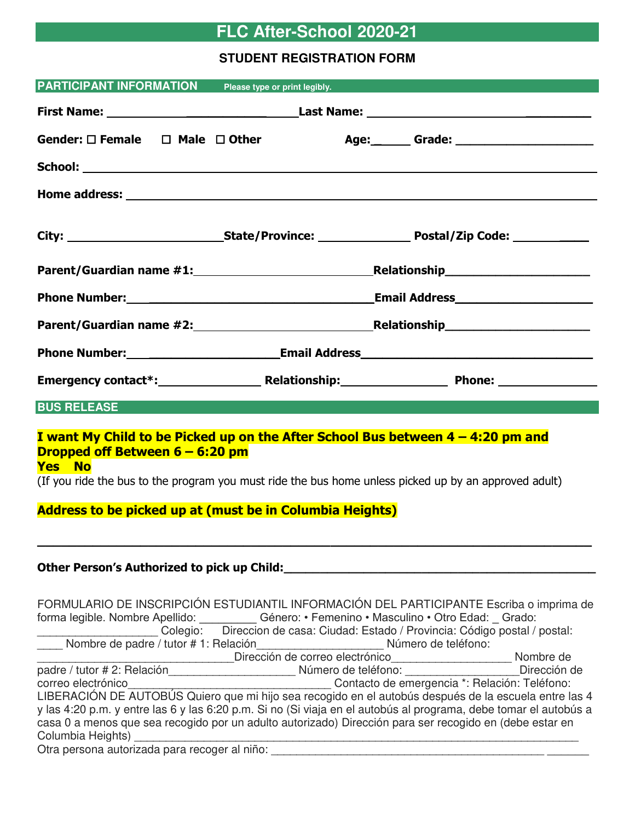# **FLC After-School 2020-21**

# **STUDENT REGISTRATION FORM**

| <b>PARTICIPANT INFORMATION</b> Please type or print legibly.                                                                                                                                                                                                                                                                                                                                                                                                                                       |                                                       |                                                                                                                |  |
|----------------------------------------------------------------------------------------------------------------------------------------------------------------------------------------------------------------------------------------------------------------------------------------------------------------------------------------------------------------------------------------------------------------------------------------------------------------------------------------------------|-------------------------------------------------------|----------------------------------------------------------------------------------------------------------------|--|
|                                                                                                                                                                                                                                                                                                                                                                                                                                                                                                    |                                                       |                                                                                                                |  |
| Gender: $\square$ Female $\square$ Male $\square$ Other                                                                                                                                                                                                                                                                                                                                                                                                                                            |                                                       | Age: Grade: 2000 Contract Contract Contract Contract Contract Contract Contract Contract Contract Contract Con |  |
|                                                                                                                                                                                                                                                                                                                                                                                                                                                                                                    |                                                       |                                                                                                                |  |
|                                                                                                                                                                                                                                                                                                                                                                                                                                                                                                    |                                                       |                                                                                                                |  |
|                                                                                                                                                                                                                                                                                                                                                                                                                                                                                                    |                                                       |                                                                                                                |  |
|                                                                                                                                                                                                                                                                                                                                                                                                                                                                                                    |                                                       |                                                                                                                |  |
| Phone Number: National Account of the Manual Account of the Manual Account of the Manual Account of the Manual                                                                                                                                                                                                                                                                                                                                                                                     |                                                       |                                                                                                                |  |
|                                                                                                                                                                                                                                                                                                                                                                                                                                                                                                    |                                                       |                                                                                                                |  |
|                                                                                                                                                                                                                                                                                                                                                                                                                                                                                                    |                                                       |                                                                                                                |  |
|                                                                                                                                                                                                                                                                                                                                                                                                                                                                                                    |                                                       |                                                                                                                |  |
| <b>BUS RELEASE Example 20</b>                                                                                                                                                                                                                                                                                                                                                                                                                                                                      |                                                       |                                                                                                                |  |
| I want My Child to be Picked up on the After School Bus between 4 - 4:20 pm and<br>Dropped off Between 6 - 6:20 pm<br><b>Yes No</b><br>(If you ride the bus to the program you must ride the bus home unless picked up by an approved adult)<br><b>Address to be picked up at (must be in Columbia Heights)</b>                                                                                                                                                                                    |                                                       |                                                                                                                |  |
| Other Person's Authorized to pick up Child:                                                                                                                                                                                                                                                                                                                                                                                                                                                        |                                                       |                                                                                                                |  |
| FORMULARIO DE INSCRIPCIÓN ESTUDIANTIL INFORMACIÓN DEL PARTICIPANTE Escriba o imprima de<br>forma legible. Nombre Apellido: __________ Género: • Femenino • Masculino • Otro Edad: _ Grado:                                                                                                                                                                                                                                                                                                         |                                                       | Colegio: Direccion de casa: Ciudad: Estado / Provincia: Código postal / postal:                                |  |
| padre / tutor # 2: Relación______________________________ Número de teléfono: _____________________Dirección de<br>correo electrónico<br>LIBERACIÓN DE AUTOBÚS Quiero que mi hijo sea recogido en el autobús después de la escuela entre las 4<br>y las 4:20 p.m. y entre las 6 y las 6:20 p.m. Si no (Si viaja en el autobús al programa, debe tomar el autobús a<br>casa 0 a menos que sea recogido por un adulto autorizado) Dirección para ser recogido en (debe estar en<br>Columbia Heights) | <u> 1980 - Johann Stoff, fransk politik (f. 1980)</u> |                                                                                                                |  |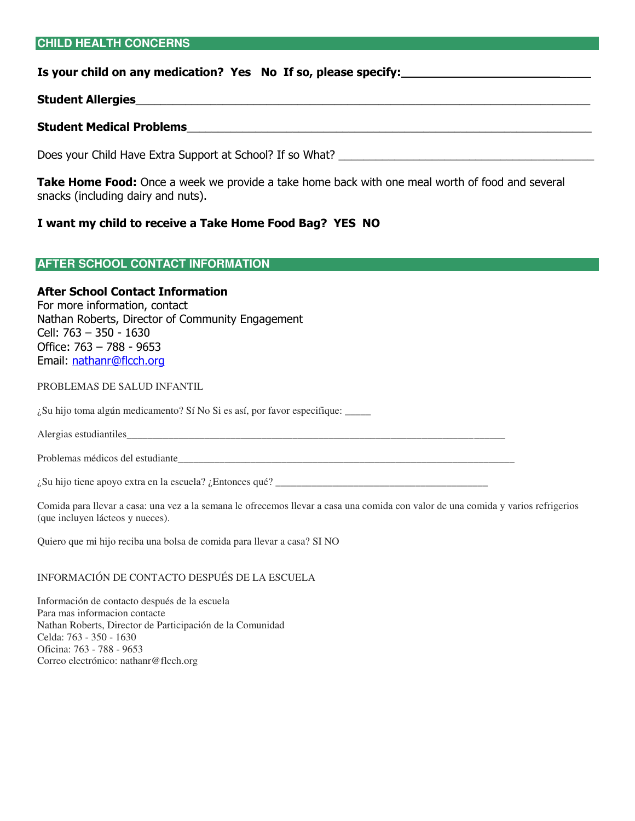#### **CHILD HEALTH CONCERNS**

#### **Is your child on any medication? Yes No If so, please specify:** \_\_\_\_\_

#### **Student Allergies**\_\_\_\_\_\_\_\_\_\_\_\_\_\_\_\_\_\_\_\_\_\_\_\_\_\_\_\_\_\_\_\_\_\_\_\_\_\_\_\_\_\_\_\_\_\_\_\_\_\_\_\_\_\_\_\_\_\_\_\_\_\_\_\_\_\_\_\_\_\_\_\_\_

#### **Student Medical Problems**\_\_\_\_\_\_\_\_\_\_\_\_\_\_\_\_\_\_\_\_\_\_\_\_\_\_\_\_\_\_\_\_\_\_\_\_\_\_\_\_\_\_\_\_\_\_\_\_\_\_\_\_\_\_\_\_\_\_\_\_\_\_\_\_\_

Does your Child Have Extra Support at School? If so What? \_\_\_\_\_\_\_\_\_\_\_\_\_\_\_\_\_\_\_\_\_\_\_

**Take Home Food:** Once a week we provide a take home back with one meal worth of food and several snacks (including dairy and nuts).

#### **I want my child to receive a Take Home Food Bag? YES NO**

| <b>AFTER SCHOOL CONTACT INFORMATION</b> |  |  |
|-----------------------------------------|--|--|
|-----------------------------------------|--|--|

# **After School Contact Information**

For more information, contact Nathan Roberts, Director of Community Engagement Cell: 763 – 350 - 1630 Office: 763 – 788 - 9653 Email: [nathanr@flcch.org](mailto:nathanr@flcch.org)

#### PROBLEMAS DE SALUD INFANTIL

¿Su hijo toma algún medicamento? Sí No Si es así, por favor especifique: \_\_\_\_\_

Alergias estudiantiles\_\_\_\_\_\_\_\_\_\_\_\_\_\_\_\_\_\_\_\_\_\_\_\_\_\_\_\_\_\_\_\_\_\_\_\_\_\_\_\_\_\_\_\_\_\_\_\_\_\_\_\_\_\_\_\_\_\_\_\_\_\_\_\_\_\_\_\_\_\_\_\_\_

Problemas médicos del estudiante\_\_\_\_\_\_\_\_\_\_\_\_\_\_\_\_\_\_\_\_\_\_\_\_\_\_\_\_\_\_\_\_\_\_\_\_\_\_\_\_\_\_\_\_\_\_\_\_\_\_\_\_\_\_\_\_\_\_\_\_\_\_\_\_\_

 $\lambda$ Su hijo tiene apoyo extra en la escuela?  $\lambda$  Entonces qué?

Comida para llevar a casa: una vez a la semana le ofrecemos llevar a casa una comida con valor de una comida y varios refrigerios (que incluyen lácteos y nueces).

Quiero que mi hijo reciba una bolsa de comida para llevar a casa? SI NO

# INFORMACIÓN DE CONTACTO DESPUÉS DE LA ESCUELA

Información de contacto después de la escuela Para mas informacion contacte Nathan Roberts, Director de Participación de la Comunidad Celda: 763 - 350 - 1630 Oficina: 763 - 788 - 9653 Correo electrónico: nathanr@flcch.org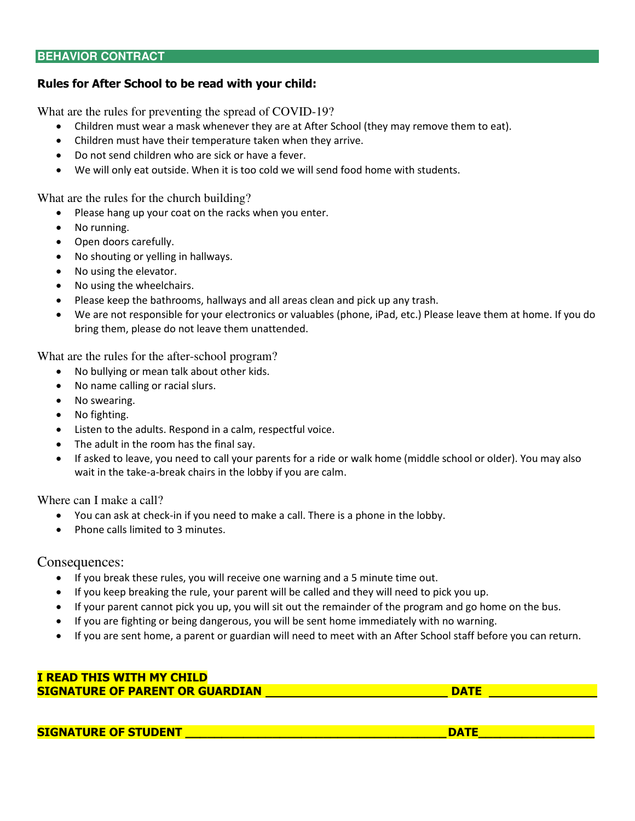#### **BEHAVIOR CONTRACT**

# **Rules for After School to be read with your child:**

What are the rules for preventing the spread of COVID-19?

- Children must wear a mask whenever they are at After School (they may remove them to eat).
- Children must have their temperature taken when they arrive.
- Do not send children who are sick or have a fever.
- We will only eat outside. When it is too cold we will send food home with students.

What are the rules for the church building?

- Please hang up your coat on the racks when you enter.
- No running.
- Open doors carefully.
- No shouting or yelling in hallways.
- No using the elevator.
- No using the wheelchairs.
- Please keep the bathrooms, hallways and all areas clean and pick up any trash.
- We are not responsible for your electronics or valuables (phone, iPad, etc.) Please leave them at home. If you do bring them, please do not leave them unattended.

What are the rules for the after-school program?

- No bullying or mean talk about other kids.
- No name calling or racial slurs.
- No swearing.
- No fighting.
- Listen to the adults. Respond in a calm, respectful voice.
- The adult in the room has the final say.
- If asked to leave, you need to call your parents for a ride or walk home (middle school or older). You may also wait in the take-a-break chairs in the lobby if you are calm.

Where can I make a call?

- You can ask at check-in if you need to make a call. There is a phone in the lobby.
- Phone calls limited to 3 minutes.

Consequences:

- If you break these rules, you will receive one warning and a 5 minute time out.
- If you keep breaking the rule, your parent will be called and they will need to pick you up.
- If your parent cannot pick you up, you will sit out the remainder of the program and go home on the bus.
- If you are fighting or being dangerous, you will be sent home immediately with no warning.
- If you are sent home, a parent or guardian will need to meet with an After School staff before you can return.

#### **I READ THIS WITH MY CHILD SIGNATURE OF PARENT OR GUARDIAN DATE DATE DATE**

**SIGNATURE OF STUDENT \_\_\_\_\_\_\_\_\_\_\_\_\_\_\_\_\_\_\_\_\_\_\_\_\_\_\_\_\_\_\_\_\_\_\_\_ DATE\_\_\_\_\_\_\_\_\_\_\_\_\_\_\_\_**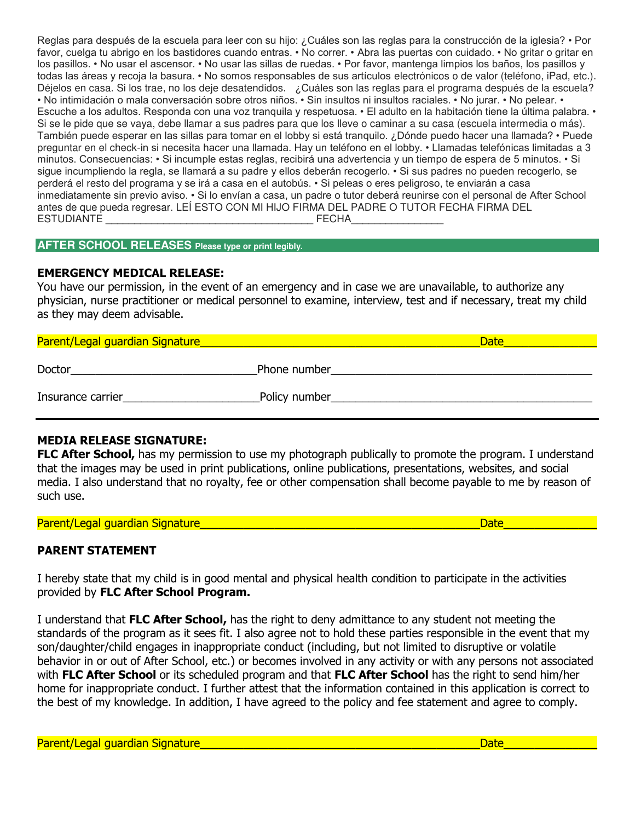Reglas para después de la escuela para leer con su hijo: ¿Cuáles son las reglas para la construcción de la iglesia? • Por favor, cuelga tu abrigo en los bastidores cuando entras. • No correr. • Abra las puertas con cuidado. • No gritar o gritar en los pasillos. • No usar el ascensor. • No usar las sillas de ruedas. • Por favor, mantenga limpios los baños, los pasillos y todas las áreas y recoja la basura. • No somos responsables de sus artículos electrónicos o de valor (teléfono, iPad, etc.). Déjelos en casa. Si los trae, no los deje desatendidos. ¿Cuáles son las reglas para el programa después de la escuela? • No intimidación o mala conversación sobre otros niños. • Sin insultos ni insultos raciales. • No jurar. • No pelear. • Escuche a los adultos. Responda con una voz tranquila y respetuosa. • El adulto en la habitación tiene la última palabra. • Si se le pide que se vaya, debe llamar a sus padres para que los lleve o caminar a su casa (escuela intermedia o más). También puede esperar en las sillas para tomar en el lobby si está tranquilo. ¿Dónde puedo hacer una llamada? • Puede preguntar en el check-in si necesita hacer una llamada. Hay un teléfono en el lobby. • Llamadas telefónicas limitadas a 3 minutos. Consecuencias: • Si incumple estas reglas, recibirá una advertencia y un tiempo de espera de 5 minutos. • Si sigue incumpliendo la regla, se llamará a su padre y ellos deberán recogerlo. • Si sus padres no pueden recogerlo, se perderá el resto del programa y se irá a casa en el autobús. • Si peleas o eres peligroso, te enviarán a casa inmediatamente sin previo aviso. • Si lo envían a casa, un padre o tutor deberá reunirse con el personal de After School antes de que pueda regresar. LEÍ ESTO CON MI HIJO FIRMA DEL PADRE O TUTOR FECHA FIRMA DEL ESTUDIANTE ESTUDIANTE

#### **AFTER SCHOOL RELEASES Please type or print legibly.**

#### **EMERGENCY MEDICAL RELEASE:**

You have our permission, in the event of an emergency and in case we are unavailable, to authorize any physician, nurse practitioner or medical personnel to examine, interview, test and if necessary, treat my child as they may deem advisable.

| Parent/Legal guardian Signature |               | <b>Date</b> |
|---------------------------------|---------------|-------------|
| Doctor                          | Phone number  |             |
| Insurance carrier               | Policy number |             |

# **MEDIA RELEASE SIGNATURE:**

**FLC After School,** has my permission to use my photograph publically to promote the program. I understand that the images may be used in print publications, online publications, presentations, websites, and social media. I also understand that no royalty, fee or other compensation shall become payable to me by reason of such use.

| Parent/Legal quardian Signature |  |
|---------------------------------|--|
|                                 |  |

# **PARENT STATEMENT**

I hereby state that my child is in good mental and physical health condition to participate in the activities provided by **FLC After School Program.**

I understand that **FLC After School,** has the right to deny admittance to any student not meeting the standards of the program as it sees fit. I also agree not to hold these parties responsible in the event that my son/daughter/child engages in inappropriate conduct (including, but not limited to disruptive or volatile behavior in or out of After School, etc.) or becomes involved in any activity or with any persons not associated with **FLC After School** or its scheduled program and that **FLC After School** has the right to send him/her home for inappropriate conduct. I further attest that the information contained in this application is correct to the best of my knowledge. In addition, I have agreed to the policy and fee statement and agree to comply.